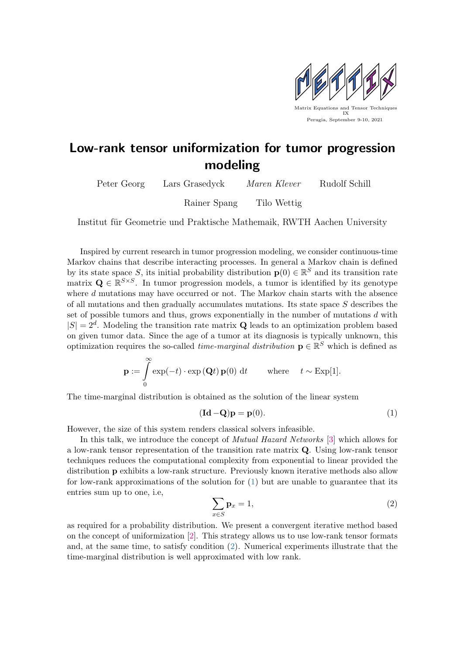

## Low-rank tensor uniformization for tumor progression modeling

| Peter Georg | Lars Grasedyck | Maren Klever | Rudolf Schill |
|-------------|----------------|--------------|---------------|
|             | Rainer Spang   | Tilo Wettig  |               |

Institut für Geometrie und Praktische Mathemaik, RWTH Aachen University

Inspired by current research in tumor progression modeling, we consider continuous-time Markov chains that describe interacting processes. In general a Markov chain is defined by its state space S, its initial probability distribution  $\mathbf{p}(0) \in \mathbb{R}^S$  and its transition rate matrix  $\mathbf{Q} \in \mathbb{R}^{S \times S}$ . In tumor progression models, a tumor is identified by its genotype where d mutations may have occurred or not. The Markov chain starts with the absence of all mutations and then gradually accumulates mutations. Its state space S describes the set of possible tumors and thus, grows exponentially in the number of mutations d with  $|S| = 2<sup>d</sup>$ . Modeling the transition rate matrix **Q** leads to an optimization problem based on given tumor data. Since the age of a tumor at its diagnosis is typically unknown, this optimization requires the so-called *time-marginal distribution*  $\mathbf{p} \in \mathbb{R}^S$  which is defined as

$$
\mathbf{p} := \int_{0}^{\infty} \exp(-t) \cdot \exp(\mathbf{Q}t) \mathbf{p}(0) dt \quad \text{where} \quad t \sim \text{Exp}[1].
$$

The time-marginal distribution is obtained as the solution of the linear system

<span id="page-0-0"></span>
$$
(\mathbf{Id} - \mathbf{Q})\mathbf{p} = \mathbf{p}(0). \tag{1}
$$

However, the size of this system renders classical solvers infeasible.

In this talk, we introduce the concept of Mutual Hazard Networks [\[3\]](#page-1-0) which allows for a low-rank tensor representation of the transition rate matrix Q. Using low-rank tensor techniques reduces the computational complexity from exponential to linear provided the distribution p exhibits a low-rank structure. Previously known iterative methods also allow for low-rank approximations of the solution for  $(1)$  but are unable to guarantee that its entries sum up to one, i.e,

<span id="page-0-1"></span>
$$
\sum_{x \in S} \mathbf{p}_x = 1,\tag{2}
$$

as required for a probability distribution. We present a convergent iterative method based on the concept of uniformization [\[2\]](#page-1-1). This strategy allows us to use low-rank tensor formats and, at the same time, to satisfy condition [\(2\)](#page-0-1). Numerical experiments illustrate that the time-marginal distribution is well approximated with low rank.